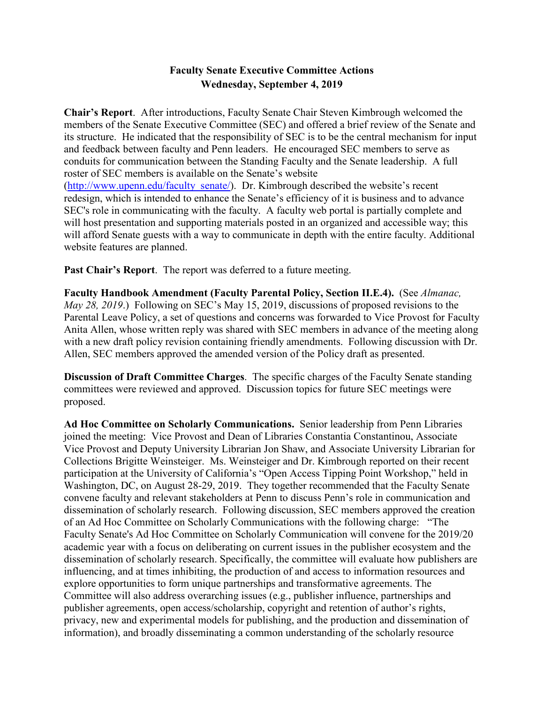## **Faculty Senate Executive Committee Actions Wednesday, September 4, 2019**

**Chair's Report**. After introductions, Faculty Senate Chair Steven Kimbrough welcomed the members of the Senate Executive Committee (SEC) and offered a brief review of the Senate and its structure. He indicated that the responsibility of SEC is to be the central mechanism for input and feedback between faculty and Penn leaders. He encouraged SEC members to serve as conduits for communication between the Standing Faculty and the Senate leadership. A full roster of SEC members is available on the Senate's website [\(http://www.upenn.edu/faculty\\_senate/\)](http://www.upenn.edu/faculty_senate/). Dr. Kimbrough described the website's recent redesign, which is intended to enhance the Senate's efficiency of it is business and to advance SEC's role in communicating with the faculty. A faculty web portal is partially complete and will host presentation and supporting materials posted in an organized and accessible way; this will afford Senate guests with a way to communicate in depth with the entire faculty. Additional website features are planned.

**Past Chair's Report**. The report was deferred to a future meeting.

**Faculty Handbook Amendment (Faculty Parental Policy, Section II.E.4).** (See *Almanac, May 28, 2019*.) Following on SEC's May 15, 2019, discussions of proposed revisions to the Parental Leave Policy, a set of questions and concerns was forwarded to Vice Provost for Faculty Anita Allen, whose written reply was shared with SEC members in advance of the meeting along with a new draft policy revision containing friendly amendments. Following discussion with Dr. Allen, SEC members approved the amended version of the Policy draft as presented.

**Discussion of Draft Committee Charges**. The specific charges of the Faculty Senate standing committees were reviewed and approved. Discussion topics for future SEC meetings were proposed.

**Ad Hoc Committee on Scholarly Communications.** Senior leadership from Penn Libraries joined the meeting: Vice Provost and Dean of Libraries Constantia Constantinou, Associate Vice Provost and Deputy University Librarian Jon Shaw, and Associate University Librarian for Collections Brigitte Weinsteiger. Ms. Weinsteiger and Dr. Kimbrough reported on their recent participation at the University of California's "Open Access Tipping Point Workshop," held in Washington, DC, on August 28-29, 2019. They together recommended that the Faculty Senate convene faculty and relevant stakeholders at Penn to discuss Penn's role in communication and dissemination of scholarly research. Following discussion, SEC members approved the creation of an Ad Hoc Committee on Scholarly Communications with the following charge: "The Faculty Senate's Ad Hoc Committee on Scholarly Communication will convene for the 2019/20 academic year with a focus on deliberating on current issues in the publisher ecosystem and the dissemination of scholarly research. Specifically, the committee will evaluate how publishers are influencing, and at times inhibiting, the production of and access to information resources and explore opportunities to form unique partnerships and transformative agreements. The Committee will also address overarching issues (e.g., publisher influence, partnerships and publisher agreements, open access/scholarship, copyright and retention of author's rights, privacy, new and experimental models for publishing, and the production and dissemination of information), and broadly disseminating a common understanding of the scholarly resource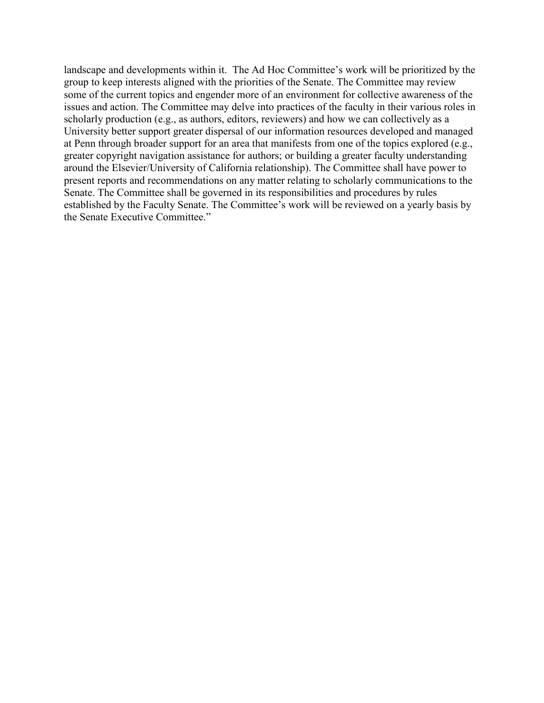landscape and developments within it. The Ad Hoc Committee's work will be prioritized by the group to keep interests aligned with the priorities of the Senate. The Committee may review some of the current topics and engender more of an environment for collective awareness of the issues and action. The Committee may delve into practices of the faculty in their various roles in scholarly production (e.g., as authors, editors, reviewers) and how we can collectively as a University better support greater dispersal of our information resources developed and managed at Penn through broader support for an area that manifests from one of the topics explored (e.g., greater copyright navigation assistance for authors; or building a greater faculty understanding around the Elsevier/University of California relationship). The Committee shall have power to present reports and recommendations on any matter relating to scholarly communications to the Senate. The Committee shall be governed in its responsibilities and procedures by rules established by the Faculty Senate. The Committee's work will be reviewed on a yearly basis by the Senate Executive Committee."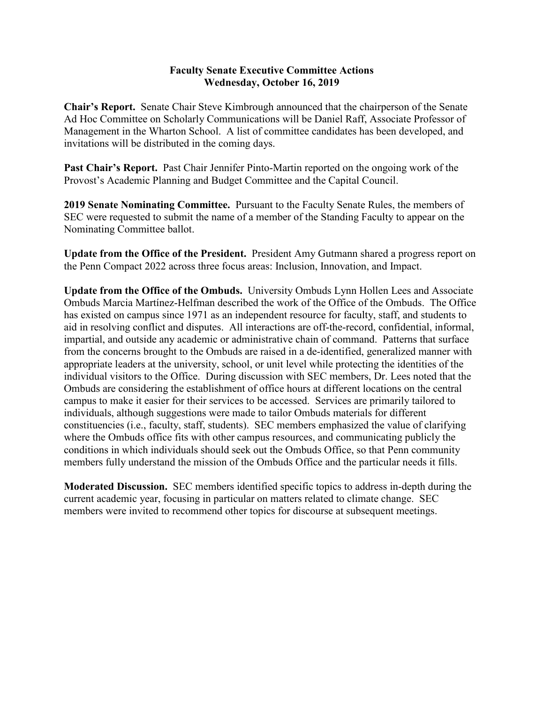## **Faculty Senate Executive Committee Actions Wednesday, October 16, 2019**

**Chair's Report.** Senate Chair Steve Kimbrough announced that the chairperson of the Senate Ad Hoc Committee on Scholarly Communications will be Daniel Raff, Associate Professor of Management in the Wharton School. A list of committee candidates has been developed, and invitations will be distributed in the coming days.

**Past Chair's Report.** Past Chair Jennifer Pinto-Martin reported on the ongoing work of the Provost's Academic Planning and Budget Committee and the Capital Council.

**2019 Senate Nominating Committee.** Pursuant to the Faculty Senate Rules, the members of SEC were requested to submit the name of a member of the Standing Faculty to appear on the Nominating Committee ballot.

**Update from the Office of the President.** President Amy Gutmann shared a progress report on the Penn Compact 2022 across three focus areas: Inclusion, Innovation, and Impact.

**Update from the Office of the Ombuds.** University Ombuds Lynn Hollen Lees and Associate Ombuds Marcia Martínez-Helfman described the work of the Office of the Ombuds. The Office has existed on campus since 1971 as an independent resource for faculty, staff, and students to aid in resolving conflict and disputes. All interactions are off-the-record, confidential, informal, impartial, and outside any academic or administrative chain of command. Patterns that surface from the concerns brought to the Ombuds are raised in a de-identified, generalized manner with appropriate leaders at the university, school, or unit level while protecting the identities of the individual visitors to the Office. During discussion with SEC members, Dr. Lees noted that the Ombuds are considering the establishment of office hours at different locations on the central campus to make it easier for their services to be accessed. Services are primarily tailored to individuals, although suggestions were made to tailor Ombuds materials for different constituencies (i.e., faculty, staff, students). SEC members emphasized the value of clarifying where the Ombuds office fits with other campus resources, and communicating publicly the conditions in which individuals should seek out the Ombuds Office, so that Penn community members fully understand the mission of the Ombuds Office and the particular needs it fills.

**Moderated Discussion.** SEC members identified specific topics to address in-depth during the current academic year, focusing in particular on matters related to climate change. SEC members were invited to recommend other topics for discourse at subsequent meetings.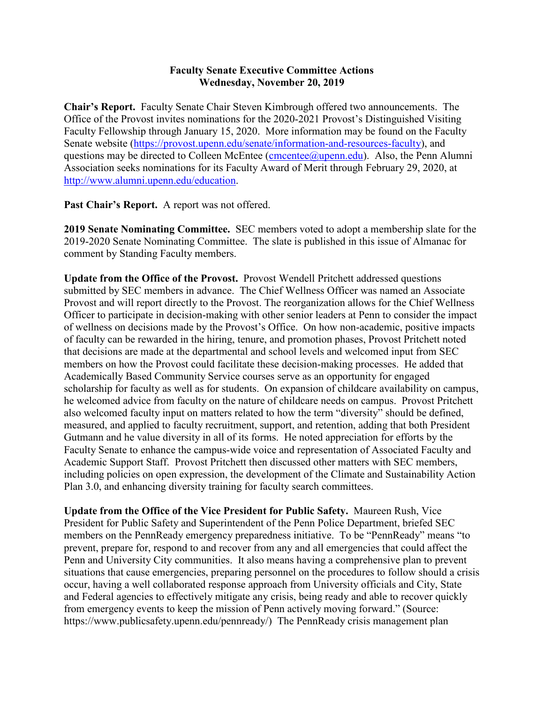## **Faculty Senate Executive Committee Actions Wednesday, November 20, 2019**

**Chair's Report.** Faculty Senate Chair Steven Kimbrough offered two announcements. The Office of the Provost invites nominations for the 2020-2021 Provost's Distinguished Visiting Faculty Fellowship through January 15, 2020. More information may be found on the Faculty Senate website [\(https://provost.upenn.edu/senate/information-and-resources-faculty\)](https://provost.upenn.edu/senate/information-and-resources-faculty), and questions may be directed to Colleen McEntee [\(cmcentee@upenn.edu\)](mailto:cmcentee@upenn.edu). Also, the Penn Alumni Association seeks nominations for its Faculty Award of Merit through February 29, 2020, at [http://www.alumni.upenn.edu/education.](http://www.alumni.upenn.edu/education)

**Past Chair's Report.** A report was not offered.

**2019 Senate Nominating Committee.** SEC members voted to adopt a membership slate for the 2019-2020 Senate Nominating Committee. The slate is published in this issue of Almanac for comment by Standing Faculty members.

**Update from the Office of the Provost.** Provost Wendell Pritchett addressed questions submitted by SEC members in advance. The Chief Wellness Officer was named an Associate Provost and will report directly to the Provost. The reorganization allows for the Chief Wellness Officer to participate in decision-making with other senior leaders at Penn to consider the impact of wellness on decisions made by the Provost's Office. On how non-academic, positive impacts of faculty can be rewarded in the hiring, tenure, and promotion phases, Provost Pritchett noted that decisions are made at the departmental and school levels and welcomed input from SEC members on how the Provost could facilitate these decision-making processes. He added that Academically Based Community Service courses serve as an opportunity for engaged scholarship for faculty as well as for students. On expansion of childcare availability on campus, he welcomed advice from faculty on the nature of childcare needs on campus. Provost Pritchett also welcomed faculty input on matters related to how the term "diversity" should be defined, measured, and applied to faculty recruitment, support, and retention, adding that both President Gutmann and he value diversity in all of its forms. He noted appreciation for efforts by the Faculty Senate to enhance the campus-wide voice and representation of Associated Faculty and Academic Support Staff. Provost Pritchett then discussed other matters with SEC members, including policies on open expression, the development of the Climate and Sustainability Action Plan 3.0, and enhancing diversity training for faculty search committees.

**Update from the Office of the Vice President for Public Safety.** Maureen Rush, Vice President for Public Safety and Superintendent of the Penn Police Department, briefed SEC members on the PennReady emergency preparedness initiative. To be "PennReady" means "to prevent, prepare for, respond to and recover from any and all emergencies that could affect the Penn and University City communities. It also means having a comprehensive plan to prevent situations that cause emergencies, preparing personnel on the procedures to follow should a crisis occur, having a well collaborated response approach from University officials and City, State and Federal agencies to effectively mitigate any crisis, being ready and able to recover quickly from emergency events to keep the mission of Penn actively moving forward." (Source: https://www.publicsafety.upenn.edu/pennready/) The PennReady crisis management plan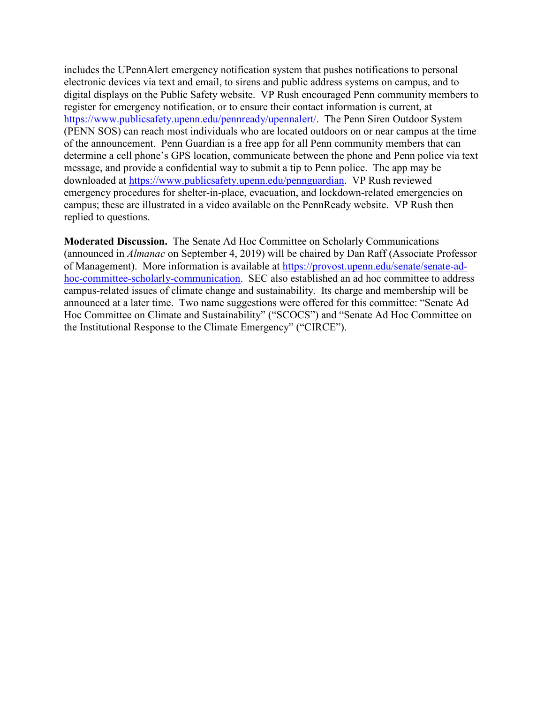includes the UPennAlert emergency notification system that pushes notifications to personal electronic devices via text and email, to sirens and public address systems on campus, and to digital displays on the Public Safety website. VP Rush encouraged Penn community members to register for emergency notification, or to ensure their contact information is current, at [https://www.publicsafety.upenn.edu/pennready/upennalert/.](https://www.publicsafety.upenn.edu/pennready/upennalert/) The Penn Siren Outdoor System (PENN SOS) can reach most individuals who are located outdoors on or near campus at the time of the announcement. Penn Guardian is a free app for all Penn community members that can determine a cell phone's GPS location, communicate between the phone and Penn police via text message, and provide a confidential way to submit a tip to Penn police. The app may be downloaded at [https://www.publicsafety.upenn.edu/pennguardian.](https://www.publicsafety.upenn.edu/pennguardian) VP Rush reviewed emergency procedures for shelter-in-place, evacuation, and lockdown-related emergencies on campus; these are illustrated in a video available on the PennReady website. VP Rush then replied to questions.

**Moderated Discussion.** The Senate Ad Hoc Committee on Scholarly Communications (announced in *Almanac* on September 4, 2019) will be chaired by Dan Raff (Associate Professor of Management). More information is available at [https://provost.upenn.edu/senate/senate-ad](https://provost.upenn.edu/senate/senate-ad-hoc-committee-scholarly-communication)[hoc-committee-scholarly-communication.](https://provost.upenn.edu/senate/senate-ad-hoc-committee-scholarly-communication) SEC also established an ad hoc committee to address campus-related issues of climate change and sustainability. Its charge and membership will be announced at a later time. Two name suggestions were offered for this committee: "Senate Ad Hoc Committee on Climate and Sustainability" ("SCOCS") and "Senate Ad Hoc Committee on the Institutional Response to the Climate Emergency" ("CIRCE").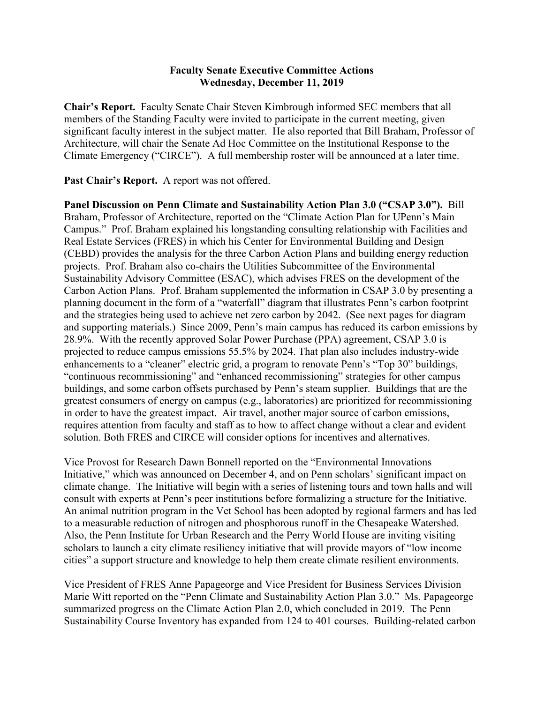## **Faculty Senate Executive Committee Actions Wednesday, December 11, 2019**

**Chair's Report.** Faculty Senate Chair Steven Kimbrough informed SEC members that all members of the Standing Faculty were invited to participate in the current meeting, given significant faculty interest in the subject matter. He also reported that Bill Braham, Professor of Architecture, will chair the Senate Ad Hoc Committee on the Institutional Response to the Climate Emergency ("CIRCE"). A full membership roster will be announced at a later time.

**Past Chair's Report.** A report was not offered.

**Panel Discussion on Penn Climate and Sustainability Action Plan 3.0 ("CSAP 3.0").** Bill Braham, Professor of Architecture, reported on the "Climate Action Plan for UPenn's Main Campus." Prof. Braham explained his longstanding consulting relationship with Facilities and Real Estate Services (FRES) in which his Center for Environmental Building and Design (CEBD) provides the analysis for the three Carbon Action Plans and building energy reduction projects. Prof. Braham also co-chairs the Utilities Subcommittee of the Environmental Sustainability Advisory Committee (ESAC), which advises FRES on the development of the Carbon Action Plans. Prof. Braham supplemented the information in CSAP 3.0 by presenting a planning document in the form of a "waterfall" diagram that illustrates Penn's carbon footprint and the strategies being used to achieve net zero carbon by 2042. (See next pages for diagram and supporting materials.) Since 2009, Penn's main campus has reduced its carbon emissions by 28.9%. With the recently approved Solar Power Purchase (PPA) agreement, CSAP 3.0 is projected to reduce campus emissions 55.5% by 2024. That plan also includes industry-wide enhancements to a "cleaner" electric grid, a program to renovate Penn's "Top 30" buildings, "continuous recommissioning" and "enhanced recommissioning" strategies for other campus buildings, and some carbon offsets purchased by Penn's steam supplier. Buildings that are the greatest consumers of energy on campus (e.g., laboratories) are prioritized for recommissioning in order to have the greatest impact. Air travel, another major source of carbon emissions, requires attention from faculty and staff as to how to affect change without a clear and evident solution. Both FRES and CIRCE will consider options for incentives and alternatives.

Vice Provost for Research Dawn Bonnell reported on the "Environmental Innovations Initiative," which was announced on December 4, and on Penn scholars' significant impact on climate change. The Initiative will begin with a series of listening tours and town halls and will consult with experts at Penn's peer institutions before formalizing a structure for the Initiative. An animal nutrition program in the Vet School has been adopted by regional farmers and has led to a measurable reduction of nitrogen and phosphorous runoff in the Chesapeake Watershed. Also, the Penn Institute for Urban Research and the Perry World House are inviting visiting scholars to launch a city climate resiliency initiative that will provide mayors of "low income cities" a support structure and knowledge to help them create climate resilient environments.

Vice President of FRES Anne Papageorge and Vice President for Business Services Division Marie Witt reported on the "Penn Climate and Sustainability Action Plan 3.0." Ms. Papageorge summarized progress on the Climate Action Plan 2.0, which concluded in 2019. The Penn Sustainability Course Inventory has expanded from 124 to 401 courses. Building-related carbon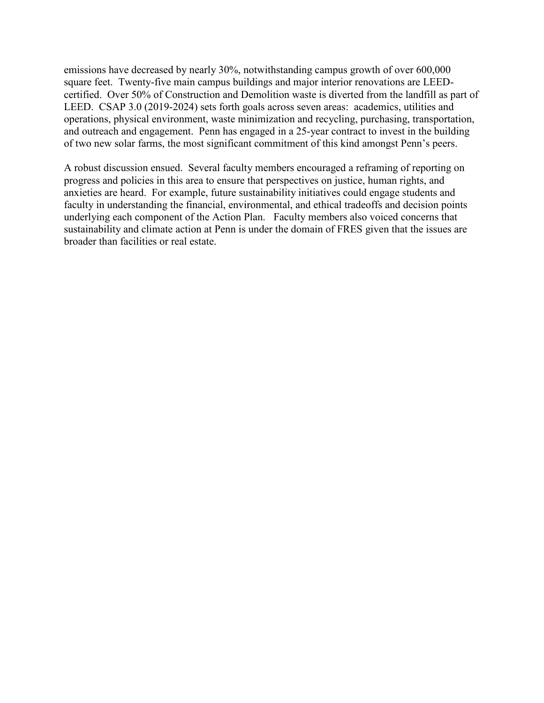emissions have decreased by nearly 30%, notwithstanding campus growth of over 600,000 square feet. Twenty-five main campus buildings and major interior renovations are LEEDcertified. Over 50% of Construction and Demolition waste is diverted from the landfill as part of LEED. CSAP 3.0 (2019-2024) sets forth goals across seven areas: academics, utilities and operations, physical environment, waste minimization and recycling, purchasing, transportation, and outreach and engagement. Penn has engaged in a 25-year contract to invest in the building of two new solar farms, the most significant commitment of this kind amongst Penn's peers.

A robust discussion ensued. Several faculty members encouraged a reframing of reporting on progress and policies in this area to ensure that perspectives on justice, human rights, and anxieties are heard. For example, future sustainability initiatives could engage students and faculty in understanding the financial, environmental, and ethical tradeoffs and decision points underlying each component of the Action Plan. Faculty members also voiced concerns that sustainability and climate action at Penn is under the domain of FRES given that the issues are broader than facilities or real estate.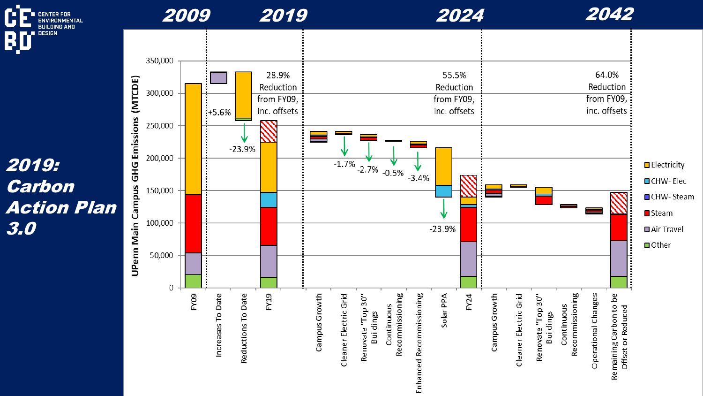

# 2019: Carbon Action Plan 3.0

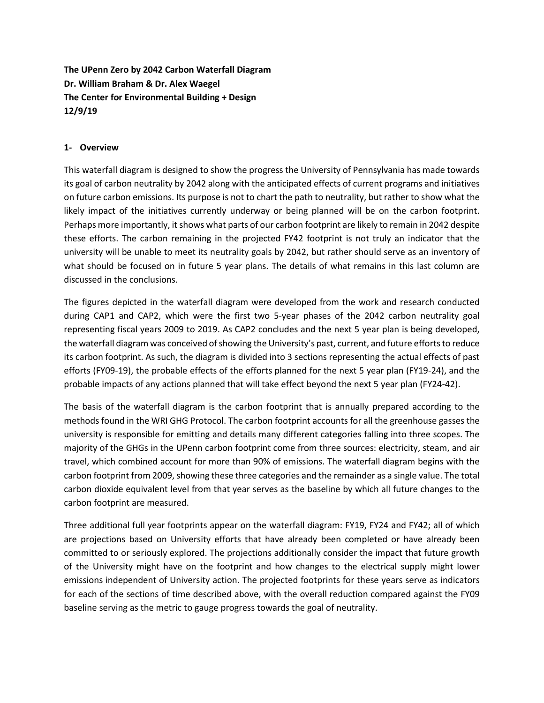**The UPenn Zero by 2042 Carbon Waterfall Diagram Dr. William Braham & Dr. Alex Waegel The Center for Environmental Building + Design 12/9/19**

#### **1- Overview**

This waterfall diagram is designed to show the progress the University of Pennsylvania has made towards its goal of carbon neutrality by 2042 along with the anticipated effects of current programs and initiatives on future carbon emissions. Its purpose is not to chart the path to neutrality, but rather to show what the likely impact of the initiatives currently underway or being planned will be on the carbon footprint. Perhaps more importantly, it shows what parts of our carbon footprint are likely to remain in 2042 despite these efforts. The carbon remaining in the projected FY42 footprint is not truly an indicator that the university will be unable to meet its neutrality goals by 2042, but rather should serve as an inventory of what should be focused on in future 5 year plans. The details of what remains in this last column are discussed in the conclusions.

The figures depicted in the waterfall diagram were developed from the work and research conducted during CAP1 and CAP2, which were the first two 5-year phases of the 2042 carbon neutrality goal representing fiscal years 2009 to 2019. As CAP2 concludes and the next 5 year plan is being developed, the waterfall diagram was conceived of showing the University's past, current, and future efforts to reduce its carbon footprint. As such, the diagram is divided into 3 sections representing the actual effects of past efforts (FY09-19), the probable effects of the efforts planned for the next 5 year plan (FY19-24), and the probable impacts of any actions planned that will take effect beyond the next 5 year plan (FY24-42).

The basis of the waterfall diagram is the carbon footprint that is annually prepared according to the methods found in the WRI GHG Protocol. The carbon footprint accounts for all the greenhouse gasses the university is responsible for emitting and details many different categories falling into three scopes. The majority of the GHGs in the UPenn carbon footprint come from three sources: electricity, steam, and air travel, which combined account for more than 90% of emissions. The waterfall diagram begins with the carbon footprint from 2009, showing these three categories and the remainder as a single value. The total carbon dioxide equivalent level from that year serves as the baseline by which all future changes to the carbon footprint are measured.

Three additional full year footprints appear on the waterfall diagram: FY19, FY24 and FY42; all of which are projections based on University efforts that have already been completed or have already been committed to or seriously explored. The projections additionally consider the impact that future growth of the University might have on the footprint and how changes to the electrical supply might lower emissions independent of University action. The projected footprints for these years serve as indicators for each of the sections of time described above, with the overall reduction compared against the FY09 baseline serving as the metric to gauge progress towards the goal of neutrality.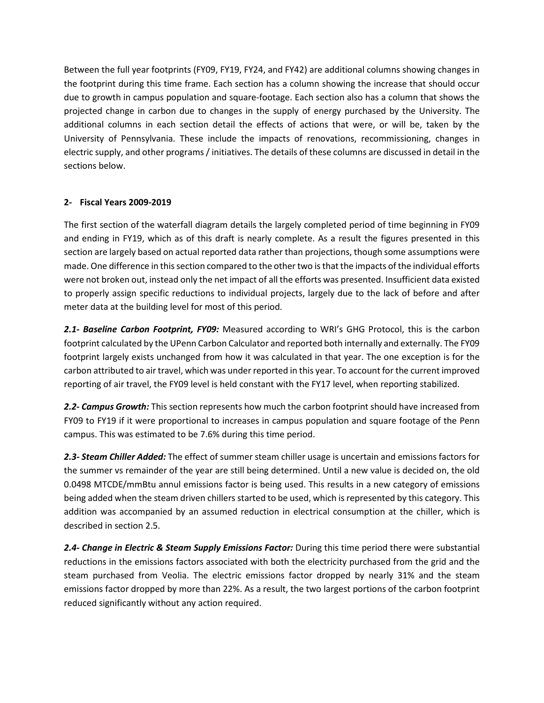Between the full year footprints (FY09, FY19, FY24, and FY42) are additional columns showing changes in the footprint during this time frame. Each section has a column showing the increase that should occur due to growth in campus population and square-footage. Each section also has a column that shows the projected change in carbon due to changes in the supply of energy purchased by the University. The additional columns in each section detail the effects of actions that were, or will be, taken by the University of Pennsylvania. These include the impacts of renovations, recommissioning, changes in electric supply, and other programs / initiatives. The details of these columns are discussed in detail in the sections below.

#### **2- Fiscal Years 2009-2019**

The first section of the waterfall diagram details the largely completed period of time beginning in FY09 and ending in FY19, which as of this draft is nearly complete. As a result the figures presented in this section are largely based on actual reported data rather than projections, though some assumptions were made. One difference in this section compared to the other two is that the impacts of the individual efforts were not broken out, instead only the net impact of all the efforts was presented. Insufficient data existed to properly assign specific reductions to individual projects, largely due to the lack of before and after meter data at the building level for most of this period.

*2.1- Baseline Carbon Footprint, FY09:* Measured according to WRI's GHG Protocol, this is the carbon footprint calculated by the UPenn Carbon Calculator and reported both internally and externally. The FY09 footprint largely exists unchanged from how it was calculated in that year. The one exception is for the carbon attributed to air travel, which was under reported in this year. To account for the current improved reporting of air travel, the FY09 level is held constant with the FY17 level, when reporting stabilized.

*2.2- Campus Growth:* This section represents how much the carbon footprint should have increased from FY09 to FY19 if it were proportional to increases in campus population and square footage of the Penn campus. This was estimated to be 7.6% during this time period.

*2.3- Steam Chiller Added:* The effect of summer steam chiller usage is uncertain and emissions factors for the summer vs remainder of the year are still being determined. Until a new value is decided on, the old 0.0498 MTCDE/mmBtu annul emissions factor is being used. This results in a new category of emissions being added when the steam driven chillers started to be used, which is represented by this category. This addition was accompanied by an assumed reduction in electrical consumption at the chiller, which is described in section 2.5.

*2.4- Change in Electric & Steam Supply Emissions Factor:* During this time period there were substantial reductions in the emissions factors associated with both the electricity purchased from the grid and the steam purchased from Veolia. The electric emissions factor dropped by nearly 31% and the steam emissions factor dropped by more than 22%. As a result, the two largest portions of the carbon footprint reduced significantly without any action required.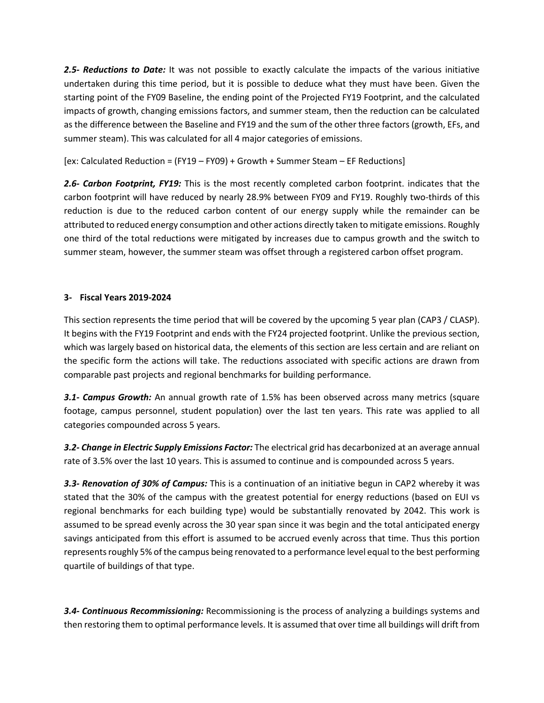*2.5- Reductions to Date:* It was not possible to exactly calculate the impacts of the various initiative undertaken during this time period, but it is possible to deduce what they must have been. Given the starting point of the FY09 Baseline, the ending point of the Projected FY19 Footprint, and the calculated impacts of growth, changing emissions factors, and summer steam, then the reduction can be calculated as the difference between the Baseline and FY19 and the sum of the other three factors (growth, EFs, and summer steam). This was calculated for all 4 major categories of emissions.

[ex: Calculated Reduction = (FY19 – FY09) + Growth + Summer Steam – EF Reductions]

*2.6- Carbon Footprint, FY19:* This is the most recently completed carbon footprint. indicates that the carbon footprint will have reduced by nearly 28.9% between FY09 and FY19. Roughly two-thirds of this reduction is due to the reduced carbon content of our energy supply while the remainder can be attributed to reduced energy consumption and other actions directly taken to mitigate emissions. Roughly one third of the total reductions were mitigated by increases due to campus growth and the switch to summer steam, however, the summer steam was offset through a registered carbon offset program.

#### **3- Fiscal Years 2019-2024**

This section represents the time period that will be covered by the upcoming 5 year plan (CAP3 / CLASP). It begins with the FY19 Footprint and ends with the FY24 projected footprint. Unlike the previous section, which was largely based on historical data, the elements of this section are less certain and are reliant on the specific form the actions will take. The reductions associated with specific actions are drawn from comparable past projects and regional benchmarks for building performance.

*3.1- Campus Growth:* An annual growth rate of 1.5% has been observed across many metrics (square footage, campus personnel, student population) over the last ten years. This rate was applied to all categories compounded across 5 years.

*3.2- Change in Electric Supply Emissions Factor:* The electrical grid has decarbonized at an average annual rate of 3.5% over the last 10 years. This is assumed to continue and is compounded across 5 years.

*3.3- Renovation of 30% of Campus:* This is a continuation of an initiative begun in CAP2 whereby it was stated that the 30% of the campus with the greatest potential for energy reductions (based on EUI vs regional benchmarks for each building type) would be substantially renovated by 2042. This work is assumed to be spread evenly across the 30 year span since it was begin and the total anticipated energy savings anticipated from this effort is assumed to be accrued evenly across that time. Thus this portion represents roughly 5% of the campus being renovated to a performance level equal to the best performing quartile of buildings of that type.

*3.4- Continuous Recommissioning:* Recommissioning is the process of analyzing a buildings systems and then restoring them to optimal performance levels. It is assumed that over time all buildings will drift from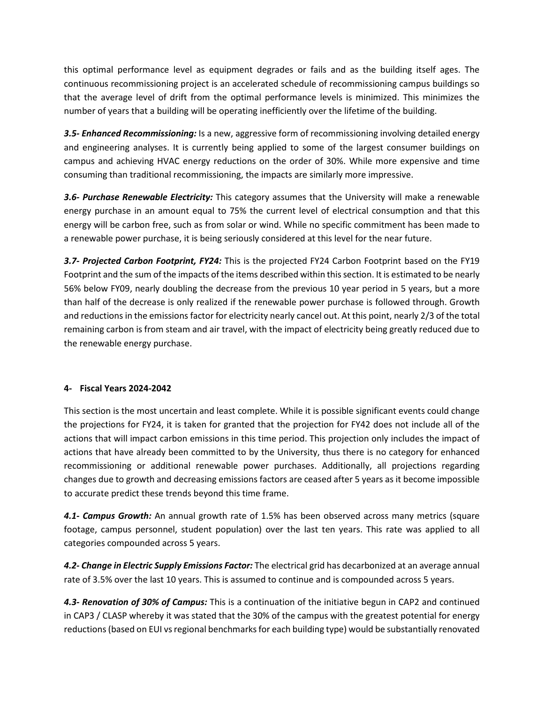this optimal performance level as equipment degrades or fails and as the building itself ages. The continuous recommissioning project is an accelerated schedule of recommissioning campus buildings so that the average level of drift from the optimal performance levels is minimized. This minimizes the number of years that a building will be operating inefficiently over the lifetime of the building.

*3.5- Enhanced Recommissioning:* Is a new, aggressive form of recommissioning involving detailed energy and engineering analyses. It is currently being applied to some of the largest consumer buildings on campus and achieving HVAC energy reductions on the order of 30%. While more expensive and time consuming than traditional recommissioning, the impacts are similarly more impressive.

*3.6- Purchase Renewable Electricity:* This category assumes that the University will make a renewable energy purchase in an amount equal to 75% the current level of electrical consumption and that this energy will be carbon free, such as from solar or wind. While no specific commitment has been made to a renewable power purchase, it is being seriously considered at this level for the near future.

*3.7- Projected Carbon Footprint, FY24:* This is the projected FY24 Carbon Footprint based on the FY19 Footprint and the sum of the impacts of the items described within this section. It is estimated to be nearly 56% below FY09, nearly doubling the decrease from the previous 10 year period in 5 years, but a more than half of the decrease is only realized if the renewable power purchase is followed through. Growth and reductions in the emissions factor for electricity nearly cancel out. At this point, nearly 2/3 of the total remaining carbon is from steam and air travel, with the impact of electricity being greatly reduced due to the renewable energy purchase.

## **4- Fiscal Years 2024-2042**

This section is the most uncertain and least complete. While it is possible significant events could change the projections for FY24, it is taken for granted that the projection for FY42 does not include all of the actions that will impact carbon emissions in this time period. This projection only includes the impact of actions that have already been committed to by the University, thus there is no category for enhanced recommissioning or additional renewable power purchases. Additionally, all projections regarding changes due to growth and decreasing emissions factors are ceased after 5 years as it become impossible to accurate predict these trends beyond this time frame.

*4.1- Campus Growth:* An annual growth rate of 1.5% has been observed across many metrics (square footage, campus personnel, student population) over the last ten years. This rate was applied to all categories compounded across 5 years.

*4.2- Change in Electric Supply Emissions Factor:* The electrical grid has decarbonized at an average annual rate of 3.5% over the last 10 years. This is assumed to continue and is compounded across 5 years.

*4.3- Renovation of 30% of Campus:* This is a continuation of the initiative begun in CAP2 and continued in CAP3 / CLASP whereby it was stated that the 30% of the campus with the greatest potential for energy reductions (based on EUI vs regional benchmarks for each building type) would be substantially renovated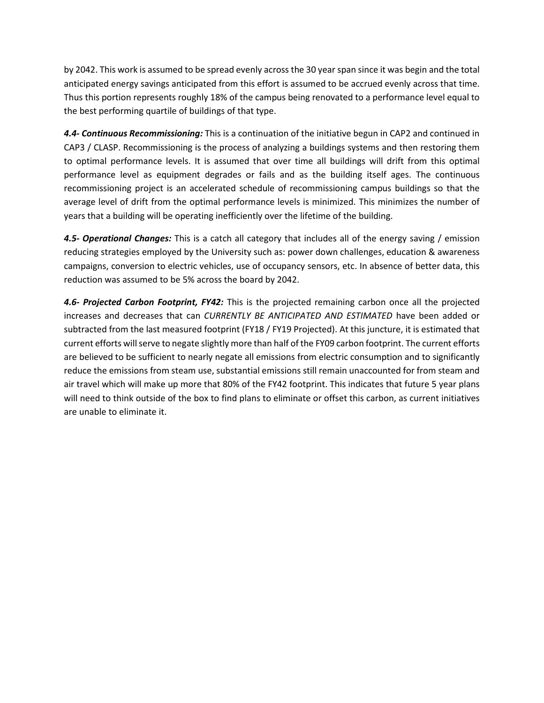by 2042. This work is assumed to be spread evenly across the 30 year span since it was begin and the total anticipated energy savings anticipated from this effort is assumed to be accrued evenly across that time. Thus this portion represents roughly 18% of the campus being renovated to a performance level equal to the best performing quartile of buildings of that type.

*4.4- Continuous Recommissioning:* This is a continuation of the initiative begun in CAP2 and continued in CAP3 / CLASP. Recommissioning is the process of analyzing a buildings systems and then restoring them to optimal performance levels. It is assumed that over time all buildings will drift from this optimal performance level as equipment degrades or fails and as the building itself ages. The continuous recommissioning project is an accelerated schedule of recommissioning campus buildings so that the average level of drift from the optimal performance levels is minimized. This minimizes the number of years that a building will be operating inefficiently over the lifetime of the building.

*4.5- Operational Changes:* This is a catch all category that includes all of the energy saving / emission reducing strategies employed by the University such as: power down challenges, education & awareness campaigns, conversion to electric vehicles, use of occupancy sensors, etc. In absence of better data, this reduction was assumed to be 5% across the board by 2042.

*4.6- Projected Carbon Footprint, FY42:* This is the projected remaining carbon once all the projected increases and decreases that can *CURRENTLY BE ANTICIPATED AND ESTIMATED* have been added or subtracted from the last measured footprint (FY18 / FY19 Projected). At this juncture, it is estimated that current efforts will serve to negate slightly more than half of the FY09 carbon footprint. The current efforts are believed to be sufficient to nearly negate all emissions from electric consumption and to significantly reduce the emissions from steam use, substantial emissions still remain unaccounted for from steam and air travel which will make up more that 80% of the FY42 footprint. This indicates that future 5 year plans will need to think outside of the box to find plans to eliminate or offset this carbon, as current initiatives are unable to eliminate it.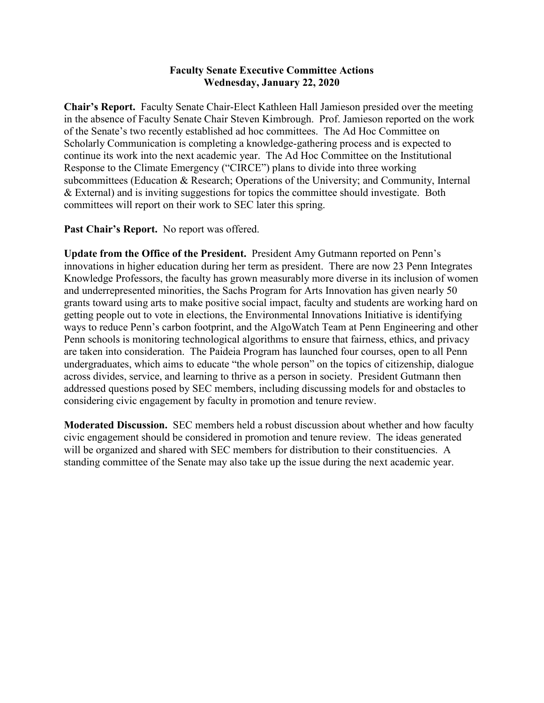## **Faculty Senate Executive Committee Actions Wednesday, January 22, 2020**

**Chair's Report.** Faculty Senate Chair-Elect Kathleen Hall Jamieson presided over the meeting in the absence of Faculty Senate Chair Steven Kimbrough. Prof. Jamieson reported on the work of the Senate's two recently established ad hoc committees. The Ad Hoc Committee on Scholarly Communication is completing a knowledge-gathering process and is expected to continue its work into the next academic year. The Ad Hoc Committee on the Institutional Response to the Climate Emergency ("CIRCE") plans to divide into three working subcommittees (Education & Research; Operations of the University; and Community, Internal & External) and is inviting suggestions for topics the committee should investigate. Both committees will report on their work to SEC later this spring.

**Past Chair's Report.** No report was offered.

**Update from the Office of the President.** President Amy Gutmann reported on Penn's innovations in higher education during her term as president. There are now 23 Penn Integrates Knowledge Professors, the faculty has grown measurably more diverse in its inclusion of women and underrepresented minorities, the Sachs Program for Arts Innovation has given nearly 50 grants toward using arts to make positive social impact, faculty and students are working hard on getting people out to vote in elections, the Environmental Innovations Initiative is identifying ways to reduce Penn's carbon footprint, and the AlgoWatch Team at Penn Engineering and other Penn schools is monitoring technological algorithms to ensure that fairness, ethics, and privacy are taken into consideration. The Paideia Program has launched four courses, open to all Penn undergraduates, which aims to educate "the whole person" on the topics of citizenship, dialogue across divides, service, and learning to thrive as a person in society. President Gutmann then addressed questions posed by SEC members, including discussing models for and obstacles to considering civic engagement by faculty in promotion and tenure review.

**Moderated Discussion.** SEC members held a robust discussion about whether and how faculty civic engagement should be considered in promotion and tenure review. The ideas generated will be organized and shared with SEC members for distribution to their constituencies. A standing committee of the Senate may also take up the issue during the next academic year.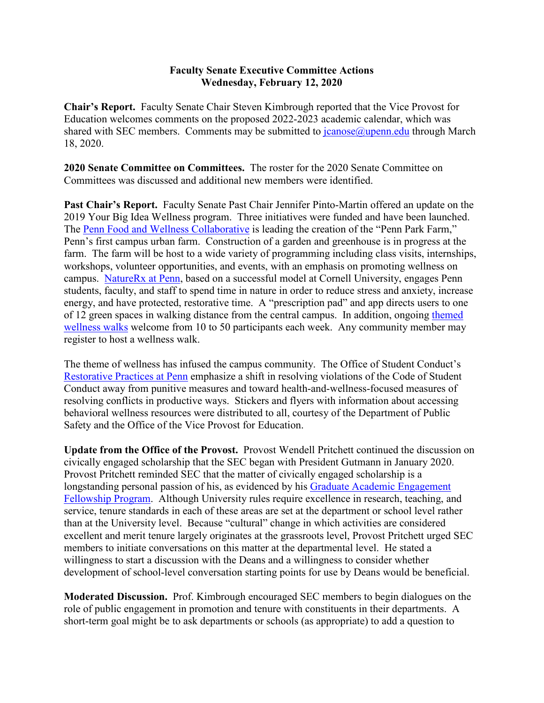## **Faculty Senate Executive Committee Actions Wednesday, February 12, 2020**

**Chair's Report.** Faculty Senate Chair Steven Kimbrough reported that the Vice Provost for Education welcomes comments on the proposed 2022-2023 academic calendar, which was shared with SEC members. Comments may be submitted to  $\frac{1}{2}$  canose  $\frac{1}{2}$  canose  $\frac{1}{2}$  through March 18, 2020.

**2020 Senate Committee on Committees.** The roster for the 2020 Senate Committee on Committees was discussed and additional new members were identified.

**Past Chair's Report.** Faculty Senate Past Chair Jennifer Pinto-Martin offered an update on the 2019 Your Big Idea Wellness program. Three initiatives were funded and have been launched. The [Penn Food and Wellness Collaborative](http://www.cphi.upenn.edu/cphi/Penn-Food-and-Wellness-Collaborative.html) is leading the creation of the "Penn Park Farm," Penn's first campus urban farm. Construction of a garden and greenhouse is in progress at the farm. The farm will be host to a wide variety of programming including class visits, internships, workshops, volunteer opportunities, and events, with an emphasis on promoting wellness on campus. [NatureRx at Penn,](http://www.cphi.upenn.edu/cphi/nature-rx-at-penn.html) based on a successful model at Cornell University, engages Penn students, faculty, and staff to spend time in nature in order to reduce stress and anxiety, increase energy, and have protected, restorative time. A "prescription pad" and app directs users to one of 12 green spaces in walking distance from the central campus. In addition, ongoing [themed](http://www.cphi.upenn.edu/cphi/Weekly-Themed-Wellness-Walks.html)  [wellness walks](http://www.cphi.upenn.edu/cphi/Weekly-Themed-Wellness-Walks.html) welcome from 10 to 50 participants each week. Any community member may register to host a wellness walk.

The theme of wellness has infused the campus community. The Office of Student Conduct's [Restorative Practices at Penn](https://www.osc.upenn.edu/mediation-conflict-resolution-mediation) emphasize a shift in resolving violations of the Code of Student Conduct away from punitive measures and toward health-and-wellness-focused measures of resolving conflicts in productive ways. Stickers and flyers with information about accessing behavioral wellness resources were distributed to all, courtesy of the Department of Public Safety and the Office of the Vice Provost for Education.

**Update from the Office of the Provost.** Provost Wendell Pritchett continued the discussion on civically engaged scholarship that the SEC began with President Gutmann in January 2020. Provost Pritchett reminded SEC that the matter of civically engaged scholarship is a longstanding personal passion of his, as evidenced by his [Graduate Academic Engagement](https://penntoday.upenn.edu/news/inaugural-provosts-graduate-academic-engagement-fellowships-awarded)  [Fellowship Program.](https://penntoday.upenn.edu/news/inaugural-provosts-graduate-academic-engagement-fellowships-awarded) Although University rules require excellence in research, teaching, and service, tenure standards in each of these areas are set at the department or school level rather than at the University level. Because "cultural" change in which activities are considered excellent and merit tenure largely originates at the grassroots level, Provost Pritchett urged SEC members to initiate conversations on this matter at the departmental level. He stated a willingness to start a discussion with the Deans and a willingness to consider whether development of school-level conversation starting points for use by Deans would be beneficial.

**Moderated Discussion.** Prof. Kimbrough encouraged SEC members to begin dialogues on the role of public engagement in promotion and tenure with constituents in their departments. A short-term goal might be to ask departments or schools (as appropriate) to add a question to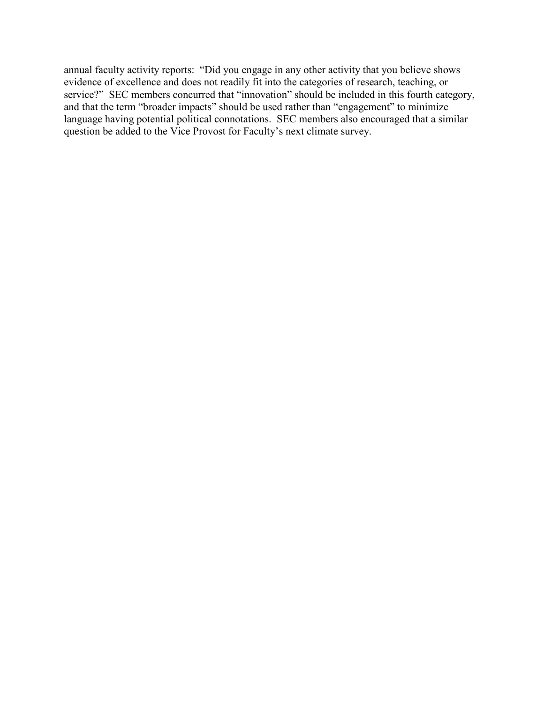annual faculty activity reports: "Did you engage in any other activity that you believe shows evidence of excellence and does not readily fit into the categories of research, teaching, or service?" SEC members concurred that "innovation" should be included in this fourth category, and that the term "broader impacts" should be used rather than "engagement" to minimize language having potential political connotations. SEC members also encouraged that a similar question be added to the Vice Provost for Faculty's next climate survey.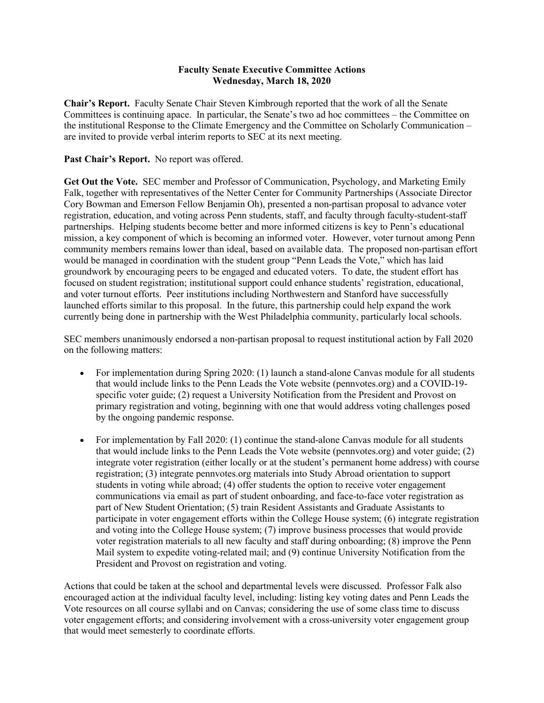#### **Faculty Senate Executive Committee Actions Wednesday, March 18, 2020**

**Chair's Report.** Faculty Senate Chair Steven Kimbrough reported that the work of all the Senate Committees is continuing apace. In particular, the Senate's two ad hoc committees – the Committee on the institutional Response to the Climate Emergency and the Committee on Scholarly Communication – are invited to provide verbal interim reports to SEC at its next meeting.

#### Past Chair's Report. No report was offered.

**Get Out the Vote.** SEC member and Professor of Communication, Psychology, and Marketing Emily Falk, together with representatives of the Netter Center for Community Partnerships (Associate Director Cory Bowman and Emerson Fellow Benjamin Oh), presented a non-partisan proposal to advance voter registration, education, and voting across Penn students, staff, and faculty through faculty-student-staff partnerships. Helping students become better and more informed citizens is key to Penn's educational mission, a key component of which is becoming an informed voter. However, voter turnout among Penn community members remains lower than ideal, based on available data. The proposed non-partisan effort would be managed in coordination with the student group "Penn Leads the Vote," which has laid groundwork by encouraging peers to be engaged and educated voters. To date, the student effort has focused on student registration; institutional support could enhance students' registration, educational, and voter turnout efforts. Peer institutions including Northwestern and Stanford have successfully launched efforts similar to this proposal. In the future, this partnership could help expand the work currently being done in partnership with the West Philadelphia community, particularly local schools.

SEC members unanimously endorsed a non-partisan proposal to request institutional action by Fall 2020 on the following matters:

- For implementation during Spring 2020: (1) launch a stand-alone Canvas module for all students that would include links to the Penn Leads the Vote website (pennvotes.org) and a COVID-19 specific voter guide; (2) request a University Notification from the President and Provost on primary registration and voting, beginning with one that would address voting challenges posed by the ongoing pandemic response.
- For implementation by Fall 2020: (1) continue the stand-alone Canvas module for all students that would include links to the Penn Leads the Vote website (pennvotes.org) and voter guide; (2) integrate voter registration (either locally or at the student's permanent home address) with course registration; (3) integrate pennvotes.org materials into Study Abroad orientation to support students in voting while abroad; (4) offer students the option to receive voter engagement communications via email as part of student onboarding, and face-to-face voter registration as part of New Student Orientation; (5) train Resident Assistants and Graduate Assistants to participate in voter engagement efforts within the College House system; (6) integrate registration and voting into the College House system; (7) improve business processes that would provide voter registration materials to all new faculty and staff during onboarding; (8) improve the Penn Mail system to expedite voting-related mail; and (9) continue University Notification from the President and Provost on registration and voting.

Actions that could be taken at the school and departmental levels were discussed. Professor Falk also encouraged action at the individual faculty level, including: listing key voting dates and Penn Leads the Vote resources on all course syllabi and on Canvas; considering the use of some class time to discuss voter engagement efforts; and considering involvement with a cross-university voter engagement group that would meet semesterly to coordinate efforts.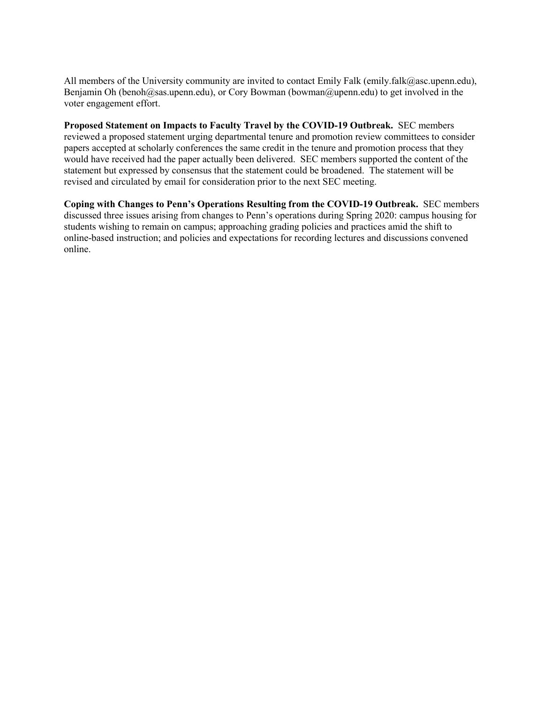All members of the University community are invited to contact Emily Falk (emily.falk@asc.upenn.edu), Benjamin Oh (benoh@sas.upenn.edu), or Cory Bowman (bowman@upenn.edu) to get involved in the voter engagement effort.

**Proposed Statement on Impacts to Faculty Travel by the COVID-19 Outbreak.** SEC members reviewed a proposed statement urging departmental tenure and promotion review committees to consider papers accepted at scholarly conferences the same credit in the tenure and promotion process that they would have received had the paper actually been delivered. SEC members supported the content of the statement but expressed by consensus that the statement could be broadened. The statement will be revised and circulated by email for consideration prior to the next SEC meeting.

**Coping with Changes to Penn's Operations Resulting from the COVID-19 Outbreak.** SEC members discussed three issues arising from changes to Penn's operations during Spring 2020: campus housing for students wishing to remain on campus; approaching grading policies and practices amid the shift to online-based instruction; and policies and expectations for recording lectures and discussions convened online.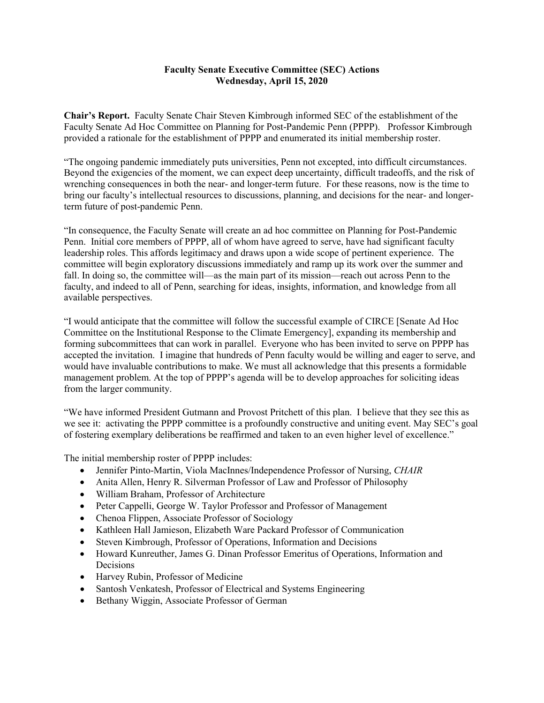#### **Faculty Senate Executive Committee (SEC) Actions Wednesday, April 15, 2020**

**Chair's Report.** Faculty Senate Chair Steven Kimbrough informed SEC of the establishment of the Faculty Senate Ad Hoc Committee on Planning for Post-Pandemic Penn (PPPP). Professor Kimbrough provided a rationale for the establishment of PPPP and enumerated its initial membership roster.

"The ongoing pandemic immediately puts universities, Penn not excepted, into difficult circumstances. Beyond the exigencies of the moment, we can expect deep uncertainty, difficult tradeoffs, and the risk of wrenching consequences in both the near- and longer-term future. For these reasons, now is the time to bring our faculty's intellectual resources to discussions, planning, and decisions for the near- and longerterm future of post-pandemic Penn.

"In consequence, the Faculty Senate will create an ad hoc committee on Planning for Post-Pandemic Penn. Initial core members of PPPP, all of whom have agreed to serve, have had significant faculty leadership roles. This affords legitimacy and draws upon a wide scope of pertinent experience. The committee will begin exploratory discussions immediately and ramp up its work over the summer and fall. In doing so, the committee will—as the main part of its mission—reach out across Penn to the faculty, and indeed to all of Penn, searching for ideas, insights, information, and knowledge from all available perspectives.

"I would anticipate that the committee will follow the successful example of CIRCE [Senate Ad Hoc Committee on the Institutional Response to the Climate Emergency], expanding its membership and forming subcommittees that can work in parallel. Everyone who has been invited to serve on PPPP has accepted the invitation. I imagine that hundreds of Penn faculty would be willing and eager to serve, and would have invaluable contributions to make. We must all acknowledge that this presents a formidable management problem. At the top of PPPP's agenda will be to develop approaches for soliciting ideas from the larger community.

"We have informed President Gutmann and Provost Pritchett of this plan. I believe that they see this as we see it: activating the PPPP committee is a profoundly constructive and uniting event. May SEC's goal of fostering exemplary deliberations be reaffirmed and taken to an even higher level of excellence."

The initial membership roster of PPPP includes:

- Jennifer Pinto-Martin, Viola MacInnes/Independence Professor of Nursing, *CHAIR*
- Anita Allen, Henry R. Silverman Professor of Law and Professor of Philosophy
- William Braham, Professor of Architecture
- Peter Cappelli, George W. Taylor Professor and Professor of Management
- Chenoa Flippen, Associate Professor of Sociology
- Kathleen Hall Jamieson, Elizabeth Ware Packard Professor of Communication
- Steven Kimbrough, Professor of Operations, Information and Decisions
- Howard Kunreuther, James G. Dinan Professor Emeritus of Operations, Information and Decisions
- Harvey Rubin, Professor of Medicine
- Santosh Venkatesh, Professor of Electrical and Systems Engineering
- Bethany Wiggin, Associate Professor of German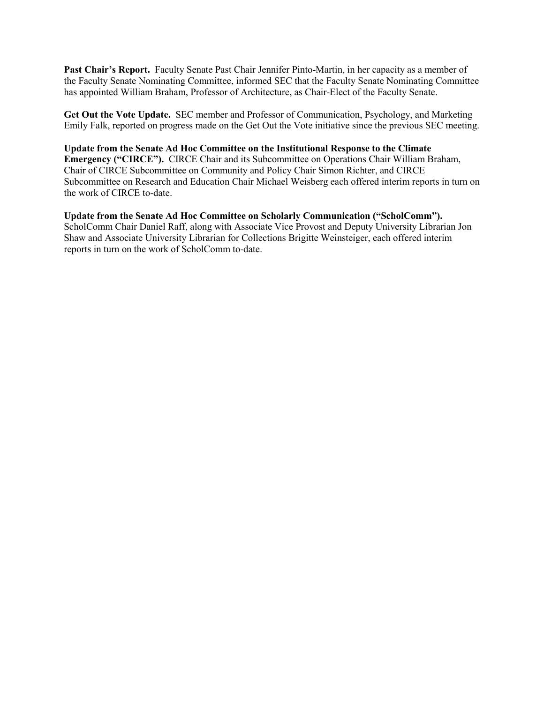**Past Chair's Report.** Faculty Senate Past Chair Jennifer Pinto-Martin, in her capacity as a member of the Faculty Senate Nominating Committee, informed SEC that the Faculty Senate Nominating Committee has appointed William Braham, Professor of Architecture, as Chair-Elect of the Faculty Senate.

**Get Out the Vote Update.** SEC member and Professor of Communication, Psychology, and Marketing Emily Falk, reported on progress made on the Get Out the Vote initiative since the previous SEC meeting.

**Update from the Senate Ad Hoc Committee on the Institutional Response to the Climate Emergency ("CIRCE").** CIRCE Chair and its Subcommittee on Operations Chair William Braham, Chair of CIRCE Subcommittee on Community and Policy Chair Simon Richter, and CIRCE Subcommittee on Research and Education Chair Michael Weisberg each offered interim reports in turn on the work of CIRCE to-date.

**Update from the Senate Ad Hoc Committee on Scholarly Communication ("ScholComm").**  ScholComm Chair Daniel Raff, along with Associate Vice Provost and Deputy University Librarian Jon Shaw and Associate University Librarian for Collections Brigitte Weinsteiger, each offered interim reports in turn on the work of ScholComm to-date.